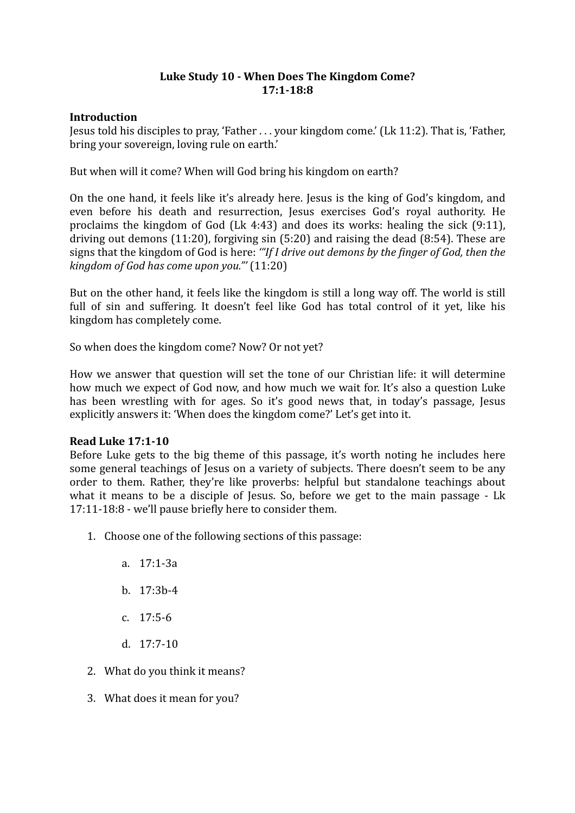# Luke Study 10 - When Does The Kingdom Come? **17:1-18:8**

## **Introduction**

Jesus told his disciples to pray, 'Father . . . your kingdom come.' (Lk 11:2). That is, 'Father, bring your sovereign, loving rule on earth.'

But when will it come? When will God bring his kingdom on earth?

On the one hand, it feels like it's already here. Jesus is the king of God's kingdom, and even before his death and resurrection, Jesus exercises God's royal authority. He proclaims the kingdom of God (Lk 4:43) and does its works: healing the sick  $(9:11)$ , driving out demons  $(11:20)$ , forgiving sin  $(5:20)$  and raising the dead  $(8:54)$ . These are signs that the kingdom of God is here: "If I drive out demons by the finger of God, then the *kingdom of God has come upon you.*" (11:20)

But on the other hand, it feels like the kingdom is still a long way off. The world is still full of sin and suffering. It doesn't feel like God has total control of it yet, like his kingdom has completely come.

So when does the kingdom come? Now? Or not yet?

How we answer that question will set the tone of our Christian life: it will determine how much we expect of God now, and how much we wait for. It's also a question Luke has been wrestling with for ages. So it's good news that, in today's passage, Jesus explicitly answers it: 'When does the kingdom come?' Let's get into it.

## **Read Luke 17:1-10**

Before Luke gets to the big theme of this passage, it's worth noting he includes here some general teachings of Jesus on a variety of subjects. There doesn't seem to be any order to them. Rather, they're like proverbs: helpful but standalone teachings about what it means to be a disciple of Jesus. So, before we get to the main passage - Lk 17:11-18:8 - we'll pause briefly here to consider them.

- 1. Choose one of the following sections of this passage:
	- a. 17:1-3a
	- b. 17:3b-4
	- c. 17:5-6
	- d. 17:7-10
- 2. What do you think it means?
- 3. What does it mean for you?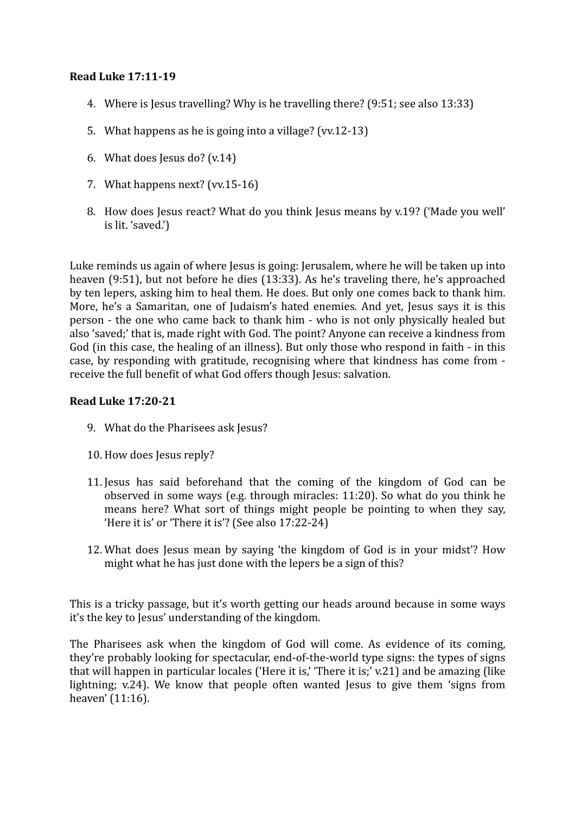## **Read Luke 17:11-19**

- 4. Where is lesus travelling? Why is he travelling there? (9:51; see also 13:33)
- 5. What happens as he is going into a village? (vv.12-13)
- 6. What does Jesus do?  $(v.14)$
- 7. What happens next? (vv.15-16)
- 8. How does Jesus react? What do you think Jesus means by v.19? ('Made you well' is lit. 'saved.')

Luke reminds us again of where Jesus is going: Jerusalem, where he will be taken up into heaven  $(9:51)$ , but not before he dies  $(13:33)$ . As he's traveling there, he's approached by ten lepers, asking him to heal them. He does. But only one comes back to thank him. More, he's a Samaritan, one of Judaism's hated enemies. And yet, Jesus says it is this person - the one who came back to thank him - who is not only physically healed but also 'saved;' that is, made right with God. The point? Anyone can receive a kindness from God (in this case, the healing of an illness). But only those who respond in faith - in this case, by responding with gratitude, recognising where that kindness has come from receive the full benefit of what God offers though Jesus: salvation.

### **Read Luke 17:20-21**

- 9. What do the Pharisees ask Jesus?
- 10. How does Jesus reply?
- 11. Jesus has said beforehand that the coming of the kingdom of God can be observed in some ways (e.g. through miracles:  $11:20$ ). So what do you think he means here? What sort of things might people be pointing to when they say, 'Here it is' or 'There it is'? (See also  $17:22-24$ )
- 12. What does Jesus mean by saying 'the kingdom of God is in your midst'? How might what he has just done with the lepers be a sign of this?

This is a tricky passage, but it's worth getting our heads around because in some ways it's the key to Jesus' understanding of the kingdom.

The Pharisees ask when the kingdom of God will come. As evidence of its coming, they're probably looking for spectacular, end-of-the-world type signs: the types of signs that will happen in particular locales ('Here it is,' 'There it is;' v.21) and be amazing (like lightning;  $v.24$ ). We know that people often wanted Jesus to give them 'signs from heaven' (11:16).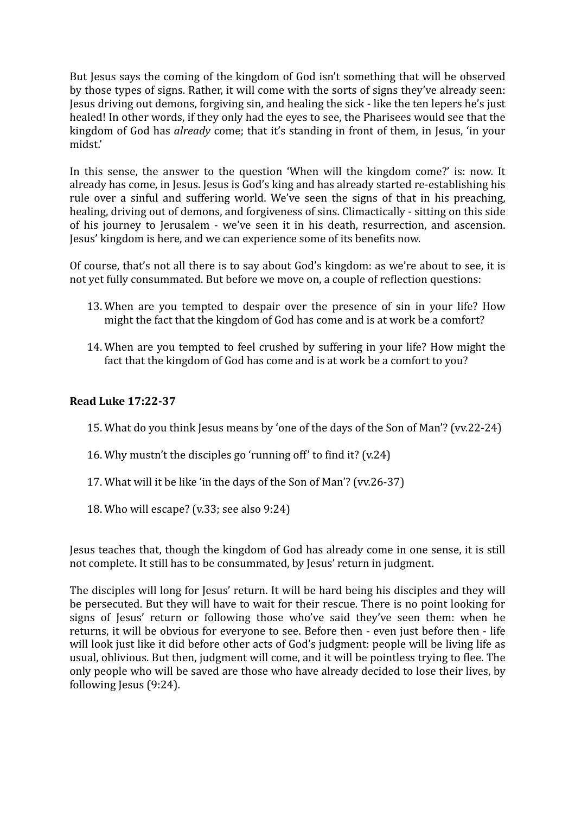But Jesus says the coming of the kingdom of God isn't something that will be observed by those types of signs. Rather, it will come with the sorts of signs they've already seen: Jesus driving out demons, forgiving sin, and healing the sick - like the ten lepers he's just healed! In other words, if they only had the eyes to see, the Pharisees would see that the kingdom of God has *already* come; that it's standing in front of them, in Jesus, 'in your midst.'

In this sense, the answer to the question 'When will the kingdom come?' is: now. It already has come, in Jesus. Jesus is God's king and has already started re-establishing his rule over a sinful and suffering world. We've seen the signs of that in his preaching, healing, driving out of demons, and forgiveness of sins. Climactically - sitting on this side of his journey to Jerusalem - we've seen it in his death, resurrection, and ascension. Jesus' kingdom is here, and we can experience some of its benefits now.

Of course, that's not all there is to say about God's kingdom: as we're about to see, it is not yet fully consummated. But before we move on, a couple of reflection questions:

- 13. When are you tempted to despair over the presence of sin in your life? How might the fact that the kingdom of God has come and is at work be a comfort?
- 14. When are you tempted to feel crushed by suffering in your life? How might the fact that the kingdom of God has come and is at work be a comfort to you?

# **Read Luke 17:22-37**

- 15. What do you think Jesus means by 'one of the days of the Son of Man'? (vv.22-24)
- 16. Why mustn't the disciples go 'running off' to find it?  $(v.24)$
- 17. What will it be like 'in the days of the Son of Man'? (vv.26-37)
- 18. Who will escape?  $(v.33;$  see also  $9:24)$

Jesus teaches that, though the kingdom of God has already come in one sense, it is still not complete. It still has to be consummated, by Jesus' return in judgment.

The disciples will long for Jesus' return. It will be hard being his disciples and they will be persecuted. But they will have to wait for their rescue. There is no point looking for signs of Jesus' return or following those who've said they've seen them: when he returns, it will be obvious for everyone to see. Before then - even just before then - life will look just like it did before other acts of God's judgment: people will be living life as usual, oblivious. But then, judgment will come, and it will be pointless trying to flee. The only people who will be saved are those who have already decided to lose their lives, by following  $Iessus (9:24)$ .